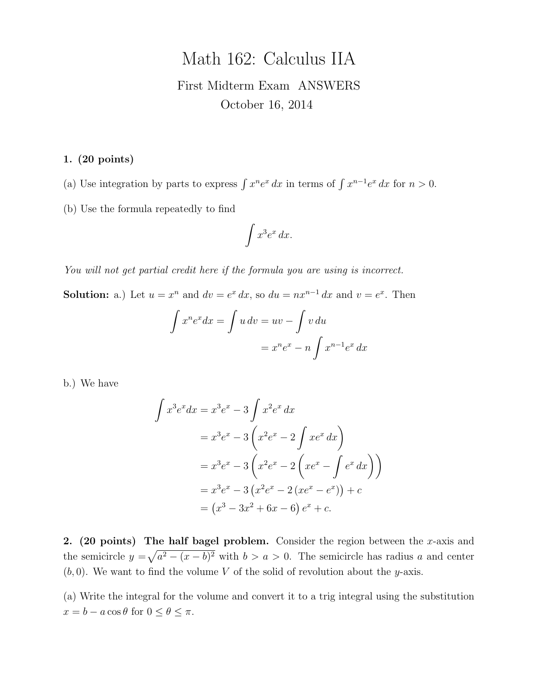# Math 162: Calculus IIA First Midterm Exam ANSWERS October 16, 2014

1. (20 points)

(a) Use integration by parts to express  $\int x^n e^x dx$  in terms of  $\int x^{n-1}e^x dx$  for  $n > 0$ .

(b) Use the formula repeatedly to find

$$
\int x^3 e^x \, dx.
$$

You will not get partial credit here if the formula you are using is incorrect.

**Solution:** a.) Let  $u = x^n$  and  $dv = e^x dx$ , so  $du = nx^{n-1} dx$  and  $v = e^x$ . Then

$$
\int x^n e^x dx = \int u dv = uv - \int v du
$$

$$
= x^n e^x - n \int x^{n-1} e^x dx
$$

b.) We have

$$
\int x^3 e^x dx = x^3 e^x - 3 \int x^2 e^x dx
$$
  
=  $x^3 e^x - 3 \left( x^2 e^x - 2 \int x e^x dx \right)$   
=  $x^3 e^x - 3 \left( x^2 e^x - 2 \left( x e^x - \int e^x dx \right) \right)$   
=  $x^3 e^x - 3 \left( x^2 e^x - 2 \left( x e^x - e^x \right) \right) + c$   
=  $\left( x^3 - 3x^2 + 6x - 6 \right) e^x + c$ .

2. (20 points) The half bagel problem. Consider the region between the x-axis and the semicircle  $y = \sqrt{a^2 - (x - b)^2}$  with  $b > a > 0$ . The semicircle has radius a and center  $(b, 0)$ . We want to find the volume V of the solid of revolution about the y-axis.

(a) Write the integral for the volume and convert it to a trig integral using the substitution  $x = b - a \cos \theta$  for  $0 \le \theta \le \pi$ .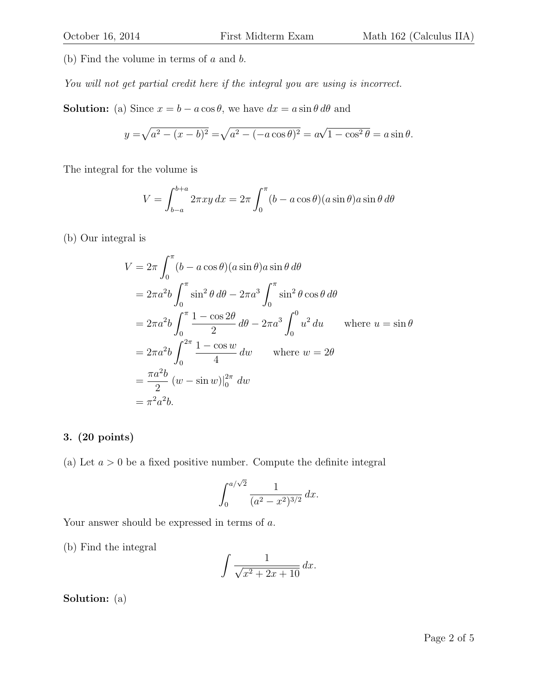(b) Find the volume in terms of  $a$  and  $b$ .

You will not get partial credit here if the integral you are using is incorrect.

**Solution:** (a) Since  $x = b - a \cos \theta$ , we have  $dx = a \sin \theta d\theta$  and

$$
y = \sqrt{a^2 - (x - b)^2} = \sqrt{a^2 - (-a \cos \theta)^2} = a\sqrt{1 - \cos^2 \theta} = a \sin \theta.
$$

The integral for the volume is

$$
V = \int_{b-a}^{b+a} 2\pi xy \, dx = 2\pi \int_0^{\pi} (b - a\cos\theta)(a\sin\theta) a\sin\theta \, d\theta
$$

(b) Our integral is

$$
V = 2\pi \int_0^{\pi} (b - a \cos \theta)(a \sin \theta) a \sin \theta d\theta
$$
  
=  $2\pi a^2 b \int_0^{\pi} \sin^2 \theta d\theta - 2\pi a^3 \int_0^{\pi} \sin^2 \theta \cos \theta d\theta$   
=  $2\pi a^2 b \int_0^{\pi} \frac{1 - \cos 2\theta}{2} d\theta - 2\pi a^3 \int_0^0 u^2 du$  where  $u = \sin \theta$   
=  $2\pi a^2 b \int_0^{2\pi} \frac{1 - \cos w}{4} dw$  where  $w = 2\theta$   
=  $\frac{\pi a^2 b}{2} (w - \sin w)|_0^{2\pi} dw$   
=  $\pi^2 a^2 b$ .

## 3. (20 points)

(a) Let  $a > 0$  be a fixed positive number. Compute the definite integral

$$
\int_0^{a/\sqrt{2}} \frac{1}{(a^2 - x^2)^{3/2}} dx.
$$

Your answer should be expressed in terms of a.

(b) Find the integral

$$
\int \frac{1}{\sqrt{x^2 + 2x + 10}} \, dx.
$$

Solution: (a)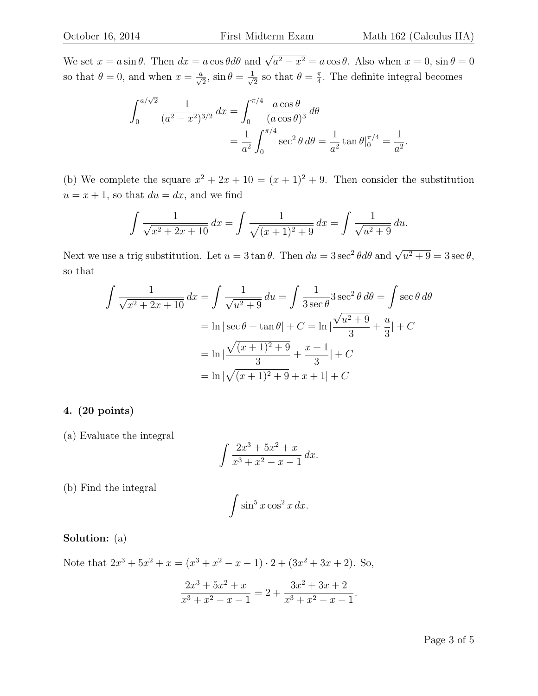We set  $x = a \sin \theta$ . Then  $dx = a \cos \theta d\theta$  and  $\sqrt{a^2 - x^2} = a \cos \theta$ . Also when  $x = 0$ ,  $\sin \theta = 0$ so that  $\theta = 0$ , and when  $x = \frac{a}{\sqrt{2}}$ ,  $\sin \theta = \frac{1}{\sqrt{2}}$  $\frac{1}{2}$  so that  $\theta = \frac{\pi}{4}$  $\frac{\pi}{4}$ . The definite integral becomes

$$
\int_0^{a/\sqrt{2}} \frac{1}{(a^2 - x^2)^{3/2}} dx = \int_0^{\pi/4} \frac{a \cos \theta}{(a \cos \theta)^3} d\theta
$$
  
=  $\frac{1}{a^2} \int_0^{\pi/4} \sec^2 \theta d\theta = \frac{1}{a^2} \tan \theta \Big|_0^{\pi/4} = \frac{1}{a^2}.$ 

(b) We complete the square  $x^2 + 2x + 10 = (x + 1)^2 + 9$ . Then consider the substitution  $u = x + 1$ , so that  $du = dx$ , and we find

$$
\int \frac{1}{\sqrt{x^2 + 2x + 10}} dx = \int \frac{1}{\sqrt{(x+1)^2 + 9}} dx = \int \frac{1}{\sqrt{u^2 + 9}} du.
$$

Next we use a trig substitution. Let  $u = 3 \tan \theta$ . Then  $du = 3 \sec^2 \theta d\theta$  and  $\sqrt{u^2 + 9} = 3 \sec \theta$ , so that

$$
\int \frac{1}{\sqrt{x^2 + 2x + 10}} dx = \int \frac{1}{\sqrt{u^2 + 9}} du = \int \frac{1}{3 \sec \theta} 3 \sec^2 \theta d\theta = \int \sec \theta d\theta
$$

$$
= \ln|\sec \theta + \tan \theta| + C = \ln|\frac{\sqrt{u^2 + 9}}{3} + \frac{u}{3}| + C
$$

$$
= \ln|\frac{\sqrt{(x+1)^2 + 9}}{3} + \frac{x+1}{3}| + C
$$

$$
= \ln|\sqrt{(x+1)^2 + 9} + x + 1| + C
$$

#### 4. (20 points)

(a) Evaluate the integral

$$
\int \frac{2x^3 + 5x^2 + x}{x^3 + x^2 - x - 1} \, dx.
$$

(b) Find the integral

$$
\int \sin^5 x \cos^2 x \, dx.
$$

## Solution: (a)

Note that  $2x^3 + 5x^2 + x = (x^3 + x^2 - x - 1) \cdot 2 + (3x^2 + 3x + 2)$ . So,

$$
\frac{2x^3 + 5x^2 + x}{x^3 + x^2 - x - 1} = 2 + \frac{3x^2 + 3x + 2}{x^3 + x^2 - x - 1}.
$$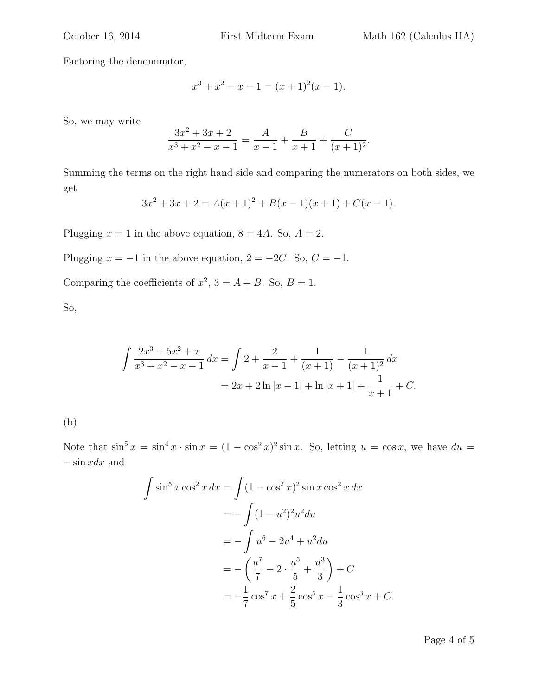.

Factoring the denominator,

$$
x^3 + x^2 - x - 1 = (x+1)^2(x-1).
$$

So, we may write

$$
\frac{3x^2 + 3x + 2}{x^3 + x^2 - x - 1} = \frac{A}{x - 1} + \frac{B}{x + 1} + \frac{C}{(x + 1)^2}
$$

Summing the terms on the right hand side and comparing the numerators on both sides, we get

$$
3x2 + 3x + 2 = A(x + 1)2 + B(x - 1)(x + 1) + C(x - 1).
$$

Plugging  $x = 1$  in the above equation,  $8 = 4A$ . So,  $A = 2$ .

Plugging  $x = -1$  in the above equation,  $2 = -2C$ . So,  $C = -1$ .

Comparing the coefficients of  $x^2$ ,  $3 = A + B$ . So,  $B = 1$ .

So,

$$
\int \frac{2x^3 + 5x^2 + x}{x^3 + x^2 - x - 1} dx = \int 2 + \frac{2}{x - 1} + \frac{1}{(x + 1)} - \frac{1}{(x + 1)^2} dx
$$
  
=  $2x + 2 \ln|x - 1| + \ln|x + 1| + \frac{1}{x + 1} + C.$ 

(b)

Note that  $\sin^5 x = \sin^4 x \cdot \sin x = (1 - \cos^2 x)^2 \sin x$ . So, letting  $u = \cos x$ , we have  $du =$ − sin xdx and

$$
\int \sin^5 x \cos^2 x \, dx = \int (1 - \cos^2 x)^2 \sin x \cos^2 x \, dx
$$
  
=  $-\int (1 - u^2)^2 u^2 du$   
=  $-\int u^6 - 2u^4 + u^2 du$   
=  $-\left(\frac{u^7}{7} - 2 \cdot \frac{u^5}{5} + \frac{u^3}{3}\right) + C$   
=  $-\frac{1}{7} \cos^7 x + \frac{2}{5} \cos^5 x - \frac{1}{3} \cos^3 x + C.$ 

Page 4 of 5